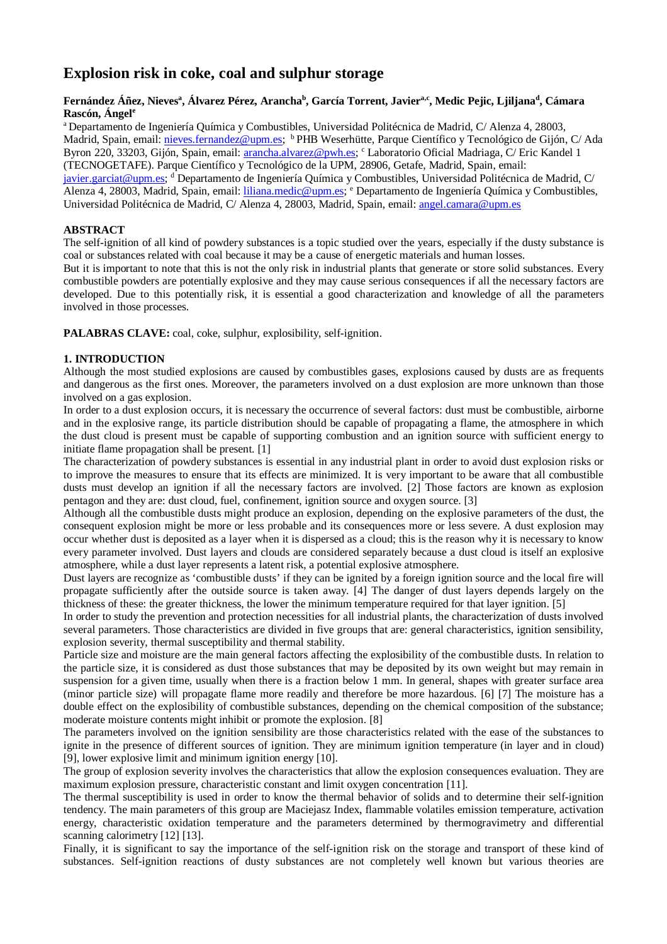# **Explosion risk in coke, coal and sulphur storage**

## **Fernández Áñez, Nieves<sup>a</sup> , Álvarez Pérez, Arancha<sup>b</sup> , García Torrent, Javiera,c, Medic Pejic, Ljiljana<sup>d</sup> , Cámara Rascón, Ángel<sup>e</sup>**

<sup>a</sup>Departamento de Ingeniería Química y Combustibles, Universidad Politécnica de Madrid, C/ Alenza 4, 28003, Madrid, Spain, email: nieves.fernandez@upm.es; <sup>b</sup> PHB Weserhütte, Parque Científico y Tecnológico de Gijón, C/ Ada Byron 220, 33203, Gijón, Spain, email: arancha.alvarez@pwh.es; c Laboratorio Oficial Madriaga, C/ Eric Kandel 1 (TECNOGETAFE). Parque Científico y Tecnológico de la UPM, 28906, Getafe, Madrid, Spain, email: javier.garciat@upm.es; <sup>d</sup> Departamento de Ingeniería Química y Combustibles, Universidad Politécnica de Madrid, C/ Alenza 4, 28003, Madrid, Spain, email: liliana.medic@upm.es; <sup>e</sup> Departamento de Ingeniería Química y Combustibles, Universidad Politécnica de Madrid, C/ Alenza 4, 28003, Madrid, Spain, email: angel.camara@upm.es

# **ABSTRACT**

The self-ignition of all kind of powdery substances is a topic studied over the years, especially if the dusty substance is coal or substances related with coal because it may be a cause of energetic materials and human losses.

But it is important to note that this is not the only risk in industrial plants that generate or store solid substances. Every combustible powders are potentially explosive and they may cause serious consequences if all the necessary factors are developed. Due to this potentially risk, it is essential a good characterization and knowledge of all the parameters involved in those processes.

**PALABRAS CLAVE:** coal, coke, sulphur, explosibility, self-ignition.

## **1. INTRODUCTION**

Although the most studied explosions are caused by combustibles gases, explosions caused by dusts are as frequents and dangerous as the first ones. Moreover, the parameters involved on a dust explosion are more unknown than those involved on a gas explosion.

In order to a dust explosion occurs, it is necessary the occurrence of several factors: dust must be combustible, airborne and in the explosive range, its particle distribution should be capable of propagating a flame, the atmosphere in which the dust cloud is present must be capable of supporting combustion and an ignition source with sufficient energy to initiate flame propagation shall be present. [1]

The characterization of powdery substances is essential in any industrial plant in order to avoid dust explosion risks or to improve the measures to ensure that its effects are minimized. It is very important to be aware that all combustible dusts must develop an ignition if all the necessary factors are involved. [2] Those factors are known as explosion pentagon and they are: dust cloud, fuel, confinement, ignition source and oxygen source. [3]

Although all the combustible dusts might produce an explosion, depending on the explosive parameters of the dust, the consequent explosion might be more or less probable and its consequences more or less severe. A dust explosion may occur whether dust is deposited as a layer when it is dispersed as a cloud; this is the reason why it is necessary to know every parameter involved. Dust layers and clouds are considered separately because a dust cloud is itself an explosive atmosphere, while a dust layer represents a latent risk, a potential explosive atmosphere.

Dust layers are recognize as 'combustible dusts' if they can be ignited by a foreign ignition source and the local fire will propagate sufficiently after the outside source is taken away. [4] The danger of dust layers depends largely on the thickness of these: the greater thickness, the lower the minimum temperature required for that layer ignition. [5]

In order to study the prevention and protection necessities for all industrial plants, the characterization of dusts involved several parameters. Those characteristics are divided in five groups that are: general characteristics, ignition sensibility, explosion severity, thermal susceptibility and thermal stability.

Particle size and moisture are the main general factors affecting the explosibility of the combustible dusts. In relation to the particle size, it is considered as dust those substances that may be deposited by its own weight but may remain in suspension for a given time, usually when there is a fraction below 1 mm. In general, shapes with greater surface area (minor particle size) will propagate flame more readily and therefore be more hazardous. [6] [7] The moisture has a double effect on the explosibility of combustible substances, depending on the chemical composition of the substance; moderate moisture contents might inhibit or promote the explosion. [8]

The parameters involved on the ignition sensibility are those characteristics related with the ease of the substances to ignite in the presence of different sources of ignition. They are minimum ignition temperature (in layer and in cloud) [9], lower explosive limit and minimum ignition energy [10].

The group of explosion severity involves the characteristics that allow the explosion consequences evaluation. They are maximum explosion pressure, characteristic constant and limit oxygen concentration [11].

The thermal susceptibility is used in order to know the thermal behavior of solids and to determine their self-ignition tendency. The main parameters of this group are Maciejasz Index, flammable volatiles emission temperature, activation energy, characteristic oxidation temperature and the parameters determined by thermogravimetry and differential scanning calorimetry [12] [13].

Finally, it is significant to say the importance of the self-ignition risk on the storage and transport of these kind of substances. Self-ignition reactions of dusty substances are not completely well known but various theories are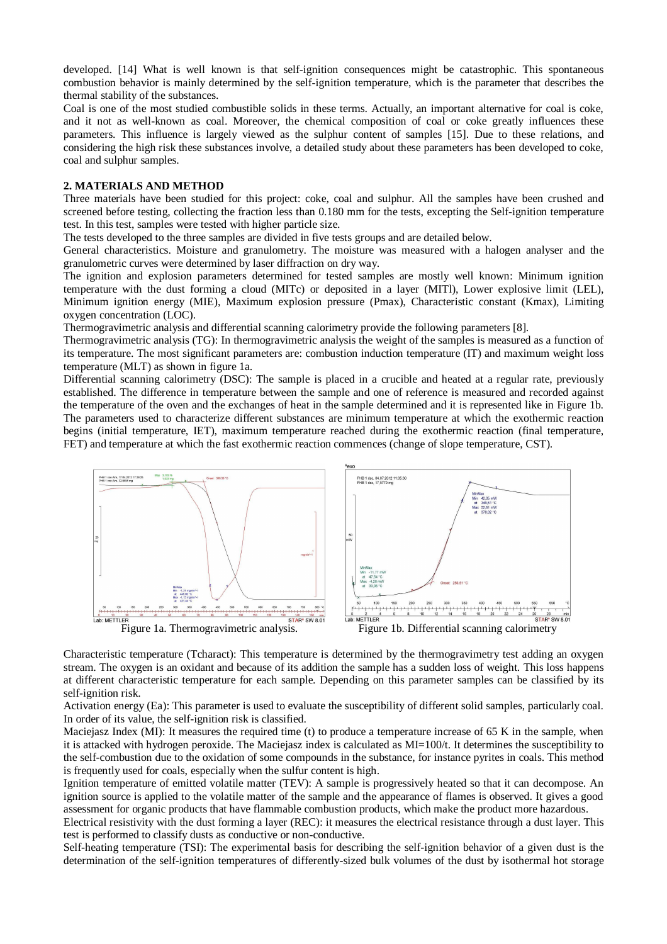developed. [14] What is well known is that self-ignition consequences might be catastrophic. This spontaneous combustion behavior is mainly determined by the self-ignition temperature, which is the parameter that describes the thermal stability of the substances.

Coal is one of the most studied combustible solids in these terms. Actually, an important alternative for coal is coke, and it not as well-known as coal. Moreover, the chemical composition of coal or coke greatly influences these parameters. This influence is largely viewed as the sulphur content of samples [15]. Due to these relations, and considering the high risk these substances involve, a detailed study about these parameters has been developed to coke, coal and sulphur samples.

#### **2. MATERIALS AND METHOD**

Three materials have been studied for this project: coke, coal and sulphur. All the samples have been crushed and screened before testing, collecting the fraction less than 0.180 mm for the tests, excepting the Self-ignition temperature test. In this test, samples were tested with higher particle size.

The tests developed to the three samples are divided in five tests groups and are detailed below.

General characteristics. Moisture and granulometry. The moisture was measured with a halogen analyser and the granulometric curves were determined by laser diffraction on dry way.

The ignition and explosion parameters determined for tested samples are mostly well known: Minimum ignition temperature with the dust forming a cloud (MITc) or deposited in a layer (MITl), Lower explosive limit (LEL), Minimum ignition energy (MIE), Maximum explosion pressure (Pmax), Characteristic constant (Kmax), Limiting oxygen concentration (LOC).

Thermogravimetric analysis and differential scanning calorimetry provide the following parameters [8].

Thermogravimetric analysis (TG): In thermogravimetric analysis the weight of the samples is measured as a function of its temperature. The most significant parameters are: combustion induction temperature (IT) and maximum weight loss temperature (MLT) as shown in figure 1a.

Differential scanning calorimetry (DSC): The sample is placed in a crucible and heated at a regular rate, previously established. The difference in temperature between the sample and one of reference is measured and recorded against the temperature of the oven and the exchanges of heat in the sample determined and it is represented like in Figure 1b. The parameters used to characterize different substances are minimum temperature at which the exothermic reaction begins (initial temperature, IET), maximum temperature reached during the exothermic reaction (final temperature, FET) and temperature at which the fast exothermic reaction commences (change of slope temperature, CST).



Characteristic temperature (Tcharact): This temperature is determined by the thermogravimetry test adding an oxygen stream. The oxygen is an oxidant and because of its addition the sample has a sudden loss of weight. This loss happens at different characteristic temperature for each sample. Depending on this parameter samples can be classified by its self-ignition risk.

Activation energy (Ea): This parameter is used to evaluate the susceptibility of different solid samples, particularly coal. In order of its value, the self-ignition risk is classified.

Maciejasz Index (MI): It measures the required time (t) to produce a temperature increase of 65 K in the sample, when it is attacked with hydrogen peroxide. The Maciejasz index is calculated as MI=100/t. It determines the susceptibility to the self-combustion due to the oxidation of some compounds in the substance, for instance pyrites in coals. This method is frequently used for coals, especially when the sulfur content is high.

Ignition temperature of emitted volatile matter (TEV): A sample is progressively heated so that it can decompose. An ignition source is applied to the volatile matter of the sample and the appearance of flames is observed. It gives a good assessment for organic products that have flammable combustion products, which make the product more hazardous.

Electrical resistivity with the dust forming a layer (REC): it measures the electrical resistance through a dust layer. This test is performed to classify dusts as conductive or non-conductive.

Self-heating temperature (TSI): The experimental basis for describing the self-ignition behavior of a given dust is the determination of the self-ignition temperatures of differently-sized bulk volumes of the dust by isothermal hot storage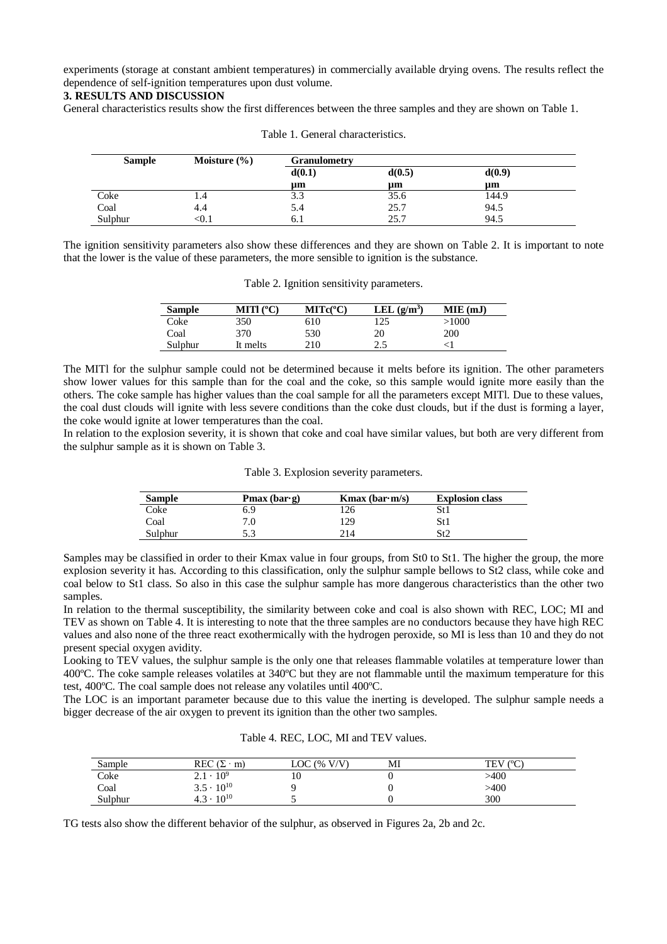experiments (storage at constant ambient temperatures) in commercially available drying ovens. The results reflect the dependence of self-ignition temperatures upon dust volume.

# **3. RESULTS AND DISCUSSION**

General characteristics results show the first differences between the three samples and they are shown on Table 1.

| <b>Sample</b> | Moisture $\frac{6}{6}$ | <b>Granulometry</b> |        |        |  |
|---------------|------------------------|---------------------|--------|--------|--|
|               |                        | d(0.1)              | d(0.5) | d(0.9) |  |
|               |                        | $\mu$ m             | um     | um     |  |
| Coke          | 1.4                    | 3.3                 | 35.6   | 144.9  |  |
| Coal          | 4.4                    | 5.4                 | 25.7   | 94.5   |  |
| Sulphur       | <∪. l                  | 0. I                | 25.7   | 94.5   |  |

Table 1. General characteristics.

The ignition sensitivity parameters also show these differences and they are shown on Table 2. It is important to note that the lower is the value of these parameters, the more sensible to ignition is the substance.

| <b>Sample</b> | MITI $(^{\circ}C)$ | $MITc(^{\circ}C)$ | LEL $(g/m^3)$ | MIE(mJ) |
|---------------|--------------------|-------------------|---------------|---------|
| Coke          | 350                | 610               | 125           | >1000   |
| Coal          | 370                | 530               | 20            | 200     |
| Sulphur       | It melts           | 210               | 7 S<br>ں ۔    |         |

Table 2. Ignition sensitivity parameters.

The MITl for the sulphur sample could not be determined because it melts before its ignition. The other parameters show lower values for this sample than for the coal and the coke, so this sample would ignite more easily than the others. The coke sample has higher values than the coal sample for all the parameters except MITl. Due to these values, the coal dust clouds will ignite with less severe conditions than the coke dust clouds, but if the dust is forming a layer, the coke would ignite at lower temperatures than the coal.

In relation to the explosion severity, it is shown that coke and coal have similar values, but both are very different from the sulphur sample as it is shown on Table 3.

#### Table 3. Explosion severity parameters.

| <b>Sample</b> | <b>Pmax</b> (bar $\cdot$ g) | <b>K</b> max (bar $\cdot$ m/s) | <b>Explosion class</b> |
|---------------|-----------------------------|--------------------------------|------------------------|
| Coke          | 6.9                         | 126                            | St 1                   |
| Coal          | 7.0                         | 129                            | St 1                   |
| Sulphur       | 5.3                         | 214                            | St2                    |

Samples may be classified in order to their Kmax value in four groups, from St0 to St1. The higher the group, the more explosion severity it has. According to this classification, only the sulphur sample bellows to St2 class, while coke and coal below to St1 class. So also in this case the sulphur sample has more dangerous characteristics than the other two samples.

In relation to the thermal susceptibility, the similarity between coke and coal is also shown with REC, LOC; MI and TEV as shown on Table 4. It is interesting to note that the three samples are no conductors because they have high REC values and also none of the three react exothermically with the hydrogen peroxide, so MI is less than 10 and they do not present special oxygen avidity.

Looking to TEV values, the sulphur sample is the only one that releases flammable volatiles at temperature lower than 400ºC. The coke sample releases volatiles at 340ºC but they are not flammable until the maximum temperature for this test, 400ºC. The coal sample does not release any volatiles until 400ºC.

The LOC is an important parameter because due to this value the inerting is developed. The sulphur sample needs a bigger decrease of the air oxygen to prevent its ignition than the other two samples.

| Sample  | REC .<br>$(\Sigma \cdot$<br>m) | LOC $(\% V/V)$ | MI | TEV (°C) |
|---------|--------------------------------|----------------|----|----------|
| Coke    | $2.1 \cdot 10^{9}$             | 10             |    | >400     |
| Coal    | $3.5 \cdot 10^{10}$            |                |    | >400     |
| Sulphur | $4.3 \cdot 10^{10}$            |                |    | 300      |

Table 4. REC, LOC, MI and TEV values.

TG tests also show the different behavior of the sulphur, as observed in Figures 2a, 2b and 2c.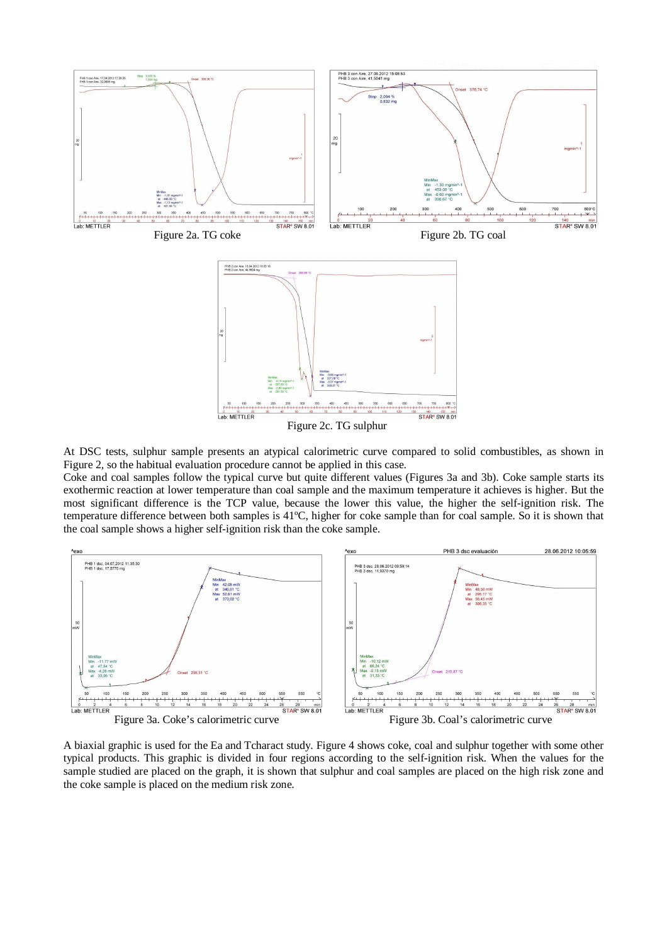

Figure 2c. TG sulphur

At DSC tests, sulphur sample presents an atypical calorimetric curve compared to solid combustibles, as shown in Figure 2, so the habitual evaluation procedure cannot be applied in this case.

Coke and coal samples follow the typical curve but quite different values (Figures 3a and 3b). Coke sample starts its exothermic reaction at lower temperature than coal sample and the maximum temperature it achieves is higher. But the most significant difference is the TCP value, because the lower this value, the higher the self-ignition risk. The temperature difference between both samples is 41ºC, higher for coke sample than for coal sample. So it is shown that the coal sample shows a higher self-ignition risk than the coke sample.



A biaxial graphic is used for the Ea and Tcharact study. Figure 4 shows coke, coal and sulphur together with some other typical products. This graphic is divided in four regions according to the self-ignition risk. When the values for the sample studied are placed on the graph, it is shown that sulphur and coal samples are placed on the high risk zone and the coke sample is placed on the medium risk zone.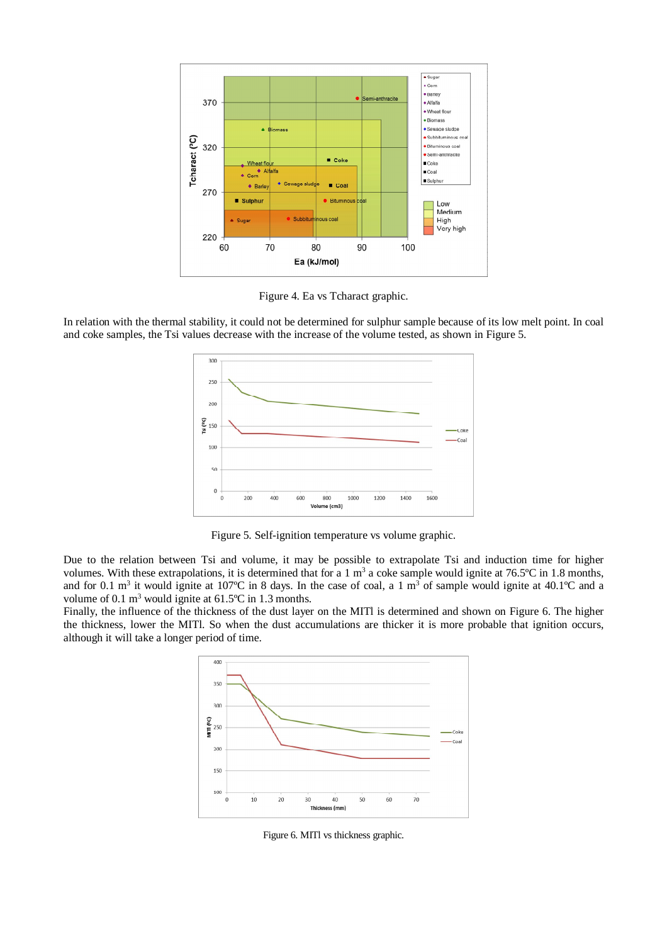

Figure 4. Ea vs Tcharact graphic.

In relation with the thermal stability, it could not be determined for sulphur sample because of its low melt point. In coal and coke samples, the Tsi values decrease with the increase of the volume tested, as shown in Figure 5.



Figure 5. Self-ignition temperature vs volume graphic.

Due to the relation between Tsi and volume, it may be possible to extrapolate Tsi and induction time for higher volumes. With these extrapolations, it is determined that for a 1  $m<sup>3</sup>$  a coke sample would ignite at 76.5°C in 1.8 months, and for 0.1 m<sup>3</sup> it would ignite at 107°C in 8 days. In the case of coal, a 1 m<sup>3</sup> of sample would ignite at 40.1°C and a volume of 0.1  $\text{m}^3$  would ignite at 61.5°C in 1.3 months.

Finally, the influence of the thickness of the dust layer on the MITl is determined and shown on Figure 6. The higher the thickness, lower the MITl. So when the dust accumulations are thicker it is more probable that ignition occurs, although it will take a longer period of time.



Figure 6. MITl vs thickness graphic.